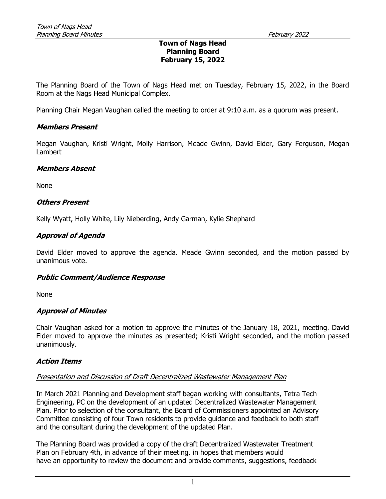#### Town of Nags Head Planning Board February 15, 2022

The Planning Board of the Town of Nags Head met on Tuesday, February 15, 2022, in the Board Room at the Nags Head Municipal Complex.

Planning Chair Megan Vaughan called the meeting to order at 9:10 a.m. as a quorum was present.

#### Members Present

Megan Vaughan, Kristi Wright, Molly Harrison, Meade Gwinn, David Elder, Gary Ferguson, Megan Lambert

#### Members Absent

None

#### Others Present

Kelly Wyatt, Holly White, Lily Nieberding, Andy Garman, Kylie Shephard

# Approval of Agenda

David Elder moved to approve the agenda. Meade Gwinn seconded, and the motion passed by unanimous vote.

# Public Comment/Audience Response

None

#### Approval of Minutes

Chair Vaughan asked for a motion to approve the minutes of the January 18, 2021, meeting. David Elder moved to approve the minutes as presented; Kristi Wright seconded, and the motion passed unanimously.

# Action Items

#### Presentation and Discussion of Draft Decentralized Wastewater Management Plan

In March 2021 Planning and Development staff began working with consultants, Tetra Tech Engineering, PC on the development of an updated Decentralized Wastewater Management Plan. Prior to selection of the consultant, the Board of Commissioners appointed an Advisory Committee consisting of four Town residents to provide guidance and feedback to both staff and the consultant during the development of the updated Plan.

The Planning Board was provided a copy of the draft Decentralized Wastewater Treatment Plan on February 4th, in advance of their meeting, in hopes that members would have an opportunity to review the document and provide comments, suggestions, feedback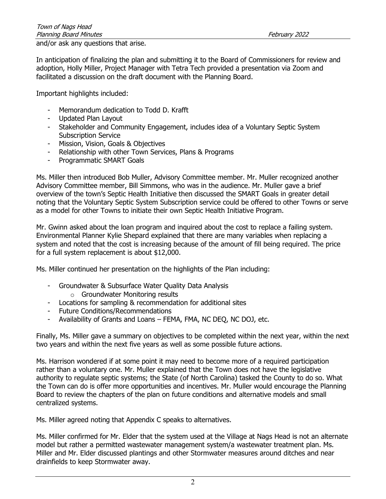and/or ask any questions that arise.

In anticipation of finalizing the plan and submitting it to the Board of Commissioners for review and adoption, Holly Miller, Project Manager with Tetra Tech provided a presentation via Zoom and facilitated a discussion on the draft document with the Planning Board.

Important highlights included:

- Memorandum dedication to Todd D. Krafft
- Updated Plan Layout
- Stakeholder and Community Engagement, includes idea of a Voluntary Septic System Subscription Service
- Mission, Vision, Goals & Objectives
- Relationship with other Town Services, Plans & Programs
- Programmatic SMART Goals

Ms. Miller then introduced Bob Muller, Advisory Committee member. Mr. Muller recognized another Advisory Committee member, Bill Simmons, who was in the audience. Mr. Muller gave a brief overview of the town's Septic Health Initiative then discussed the SMART Goals in greater detail noting that the Voluntary Septic System Subscription service could be offered to other Towns or serve as a model for other Towns to initiate their own Septic Health Initiative Program.

Mr. Gwinn asked about the loan program and inquired about the cost to replace a failing system. Environmental Planner Kylie Shepard explained that there are many variables when replacing a system and noted that the cost is increasing because of the amount of fill being required. The price for a full system replacement is about \$12,000.

Ms. Miller continued her presentation on the highlights of the Plan including:

- Groundwater & Subsurface Water Quality Data Analysis
	- o Groundwater Monitoring results
- Locations for sampling & recommendation for additional sites
- Future Conditions/Recommendations
- Availability of Grants and Loans FEMA, FMA, NC DEQ, NC DOJ, etc.

Finally, Ms. Miller gave a summary on objectives to be completed within the next year, within the next two years and within the next five years as well as some possible future actions.

Ms. Harrison wondered if at some point it may need to become more of a required participation rather than a voluntary one. Mr. Muller explained that the Town does not have the legislative authority to regulate septic systems; the State (of North Carolina) tasked the County to do so. What the Town can do is offer more opportunities and incentives. Mr. Muller would encourage the Planning Board to review the chapters of the plan on future conditions and alternative models and small centralized systems.

Ms. Miller agreed noting that Appendix C speaks to alternatives.

Ms. Miller confirmed for Mr. Elder that the system used at the Village at Nags Head is not an alternate model but rather a permitted wastewater management system/a wastewater treatment plan. Ms. Miller and Mr. Elder discussed plantings and other Stormwater measures around ditches and near drainfields to keep Stormwater away.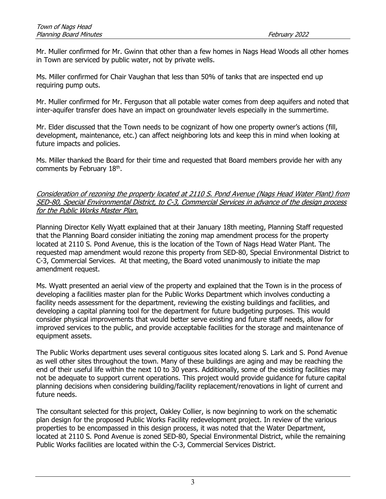Mr. Muller confirmed for Mr. Gwinn that other than a few homes in Nags Head Woods all other homes in Town are serviced by public water, not by private wells.

Ms. Miller confirmed for Chair Vaughan that less than 50% of tanks that are inspected end up requiring pump outs.

Mr. Muller confirmed for Mr. Ferguson that all potable water comes from deep aquifers and noted that inter-aquifer transfer does have an impact on groundwater levels especially in the summertime.

Mr. Elder discussed that the Town needs to be cognizant of how one property owner's actions (fill, development, maintenance, etc.) can affect neighboring lots and keep this in mind when looking at future impacts and policies.

Ms. Miller thanked the Board for their time and requested that Board members provide her with any comments by February 18<sup>th</sup>.

Consideration of rezoning the property located at 2110 S. Pond Avenue (Nags Head Water Plant) from SED-80, Special Environmental District, to C-3, Commercial Services in advance of the design process for the Public Works Master Plan.

Planning Director Kelly Wyatt explained that at their January 18th meeting, Planning Staff requested that the Planning Board consider initiating the zoning map amendment process for the property located at 2110 S. Pond Avenue, this is the location of the Town of Nags Head Water Plant. The requested map amendment would rezone this property from SED-80, Special Environmental District to C-3, Commercial Services. At that meeting, the Board voted unanimously to initiate the map amendment request.

Ms. Wyatt presented an aerial view of the property and explained that the Town is in the process of developing a facilities master plan for the Public Works Department which involves conducting a facility needs assessment for the department, reviewing the existing buildings and facilities, and developing a capital planning tool for the department for future budgeting purposes. This would consider physical improvements that would better serve existing and future staff needs, allow for improved services to the public, and provide acceptable facilities for the storage and maintenance of equipment assets.

The Public Works department uses several contiguous sites located along S. Lark and S. Pond Avenue as well other sites throughout the town. Many of these buildings are aging and may be reaching the end of their useful life within the next 10 to 30 years. Additionally, some of the existing facilities may not be adequate to support current operations. This project would provide guidance for future capital planning decisions when considering building/facility replacement/renovations in light of current and future needs.

The consultant selected for this project, Oakley Collier, is now beginning to work on the schematic plan design for the proposed Public Works Facility redevelopment project. In review of the various properties to be encompassed in this design process, it was noted that the Water Department, located at 2110 S. Pond Avenue is zoned SED-80, Special Environmental District, while the remaining Public Works facilities are located within the C-3, Commercial Services District.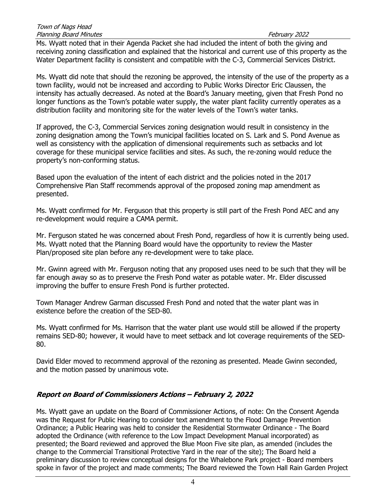Ms. Wyatt noted that in their Agenda Packet she had included the intent of both the giving and receiving zoning classification and explained that the historical and current use of this property as the Water Department facility is consistent and compatible with the C-3, Commercial Services District.

Ms. Wyatt did note that should the rezoning be approved, the intensity of the use of the property as a town facility, would not be increased and according to Public Works Director Eric Claussen, the intensity has actually decreased. As noted at the Board's January meeting, given that Fresh Pond no longer functions as the Town's potable water supply, the water plant facility currently operates as a distribution facility and monitoring site for the water levels of the Town's water tanks.

If approved, the C-3, Commercial Services zoning designation would result in consistency in the zoning designation among the Town's municipal facilities located on S. Lark and S. Pond Avenue as well as consistency with the application of dimensional requirements such as setbacks and lot coverage for these municipal service facilities and sites. As such, the re-zoning would reduce the property's non-conforming status.

Based upon the evaluation of the intent of each district and the policies noted in the 2017 Comprehensive Plan Staff recommends approval of the proposed zoning map amendment as presented.

Ms. Wyatt confirmed for Mr. Ferguson that this property is still part of the Fresh Pond AEC and any re-development would require a CAMA permit.

Mr. Ferguson stated he was concerned about Fresh Pond, regardless of how it is currently being used. Ms. Wyatt noted that the Planning Board would have the opportunity to review the Master Plan/proposed site plan before any re-development were to take place.

Mr. Gwinn agreed with Mr. Ferguson noting that any proposed uses need to be such that they will be far enough away so as to preserve the Fresh Pond water as potable water. Mr. Elder discussed improving the buffer to ensure Fresh Pond is further protected.

Town Manager Andrew Garman discussed Fresh Pond and noted that the water plant was in existence before the creation of the SED-80.

Ms. Wyatt confirmed for Ms. Harrison that the water plant use would still be allowed if the property remains SED-80; however, it would have to meet setback and lot coverage requirements of the SED-80.

David Elder moved to recommend approval of the rezoning as presented. Meade Gwinn seconded, and the motion passed by unanimous vote.

# Report on Board of Commissioners Actions – February 2, 2022

Ms. Wyatt gave an update on the Board of Commissioner Actions, of note: On the Consent Agenda was the Request for Public Hearing to consider text amendment to the Flood Damage Prevention Ordinance; a Public Hearing was held to consider the Residential Stormwater Ordinance - The Board adopted the Ordinance (with reference to the Low Impact Development Manual incorporated) as presented; the Board reviewed and approved the Blue Moon Five site plan, as amended (includes the change to the Commercial Transitional Protective Yard in the rear of the site); The Board held a preliminary discussion to review conceptual designs for the Whalebone Park project - Board members spoke in favor of the project and made comments; The Board reviewed the Town Hall Rain Garden Project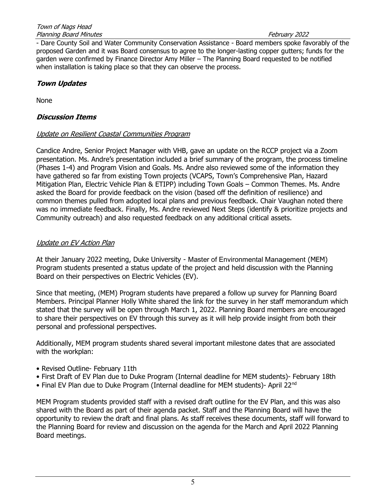- Dare County Soil and Water Community Conservation Assistance - Board members spoke favorably of the proposed Garden and it was Board consensus to agree to the longer-lasting copper gutters; funds for the garden were confirmed by Finance Director Amy Miller – The Planning Board requested to be notified when installation is taking place so that they can observe the process.

# Town Updates

None

# Discussion Items

# Update on Resilient Coastal Communities Program

Candice Andre, Senior Project Manager with VHB, gave an update on the RCCP project via a Zoom presentation. Ms. Andre's presentation included a brief summary of the program, the process timeline (Phases 1-4) and Program Vision and Goals. Ms. Andre also reviewed some of the information they have gathered so far from existing Town projects (VCAPS, Town's Comprehensive Plan, Hazard Mitigation Plan, Electric Vehicle Plan & ETIPP) including Town Goals – Common Themes. Ms. Andre asked the Board for provide feedback on the vision (based off the definition of resilience) and common themes pulled from adopted local plans and previous feedback. Chair Vaughan noted there was no immediate feedback. Finally, Ms. Andre reviewed Next Steps (identify & prioritize projects and Community outreach) and also requested feedback on any additional critical assets.

# Update on EV Action Plan

At their January 2022 meeting, Duke University - Master of Environmental Management (MEM) Program students presented a status update of the project and held discussion with the Planning Board on their perspectives on Electric Vehicles (EV).

Since that meeting, (MEM) Program students have prepared a follow up survey for Planning Board Members. Principal Planner Holly White shared the link for the survey in her staff memorandum which stated that the survey will be open through March 1, 2022. Planning Board members are encouraged to share their perspectives on EV through this survey as it will help provide insight from both their personal and professional perspectives.

Additionally, MEM program students shared several important milestone dates that are associated with the workplan:

- Revised Outline- February 11th
- First Draft of EV Plan due to Duke Program (Internal deadline for MEM students)- February 18th
- Final EV Plan due to Duke Program (Internal deadline for MEM students)- April 22<sup>nd</sup>

MEM Program students provided staff with a revised draft outline for the EV Plan, and this was also shared with the Board as part of their agenda packet. Staff and the Planning Board will have the opportunity to review the draft and final plans. As staff receives these documents, staff will forward to the Planning Board for review and discussion on the agenda for the March and April 2022 Planning Board meetings.